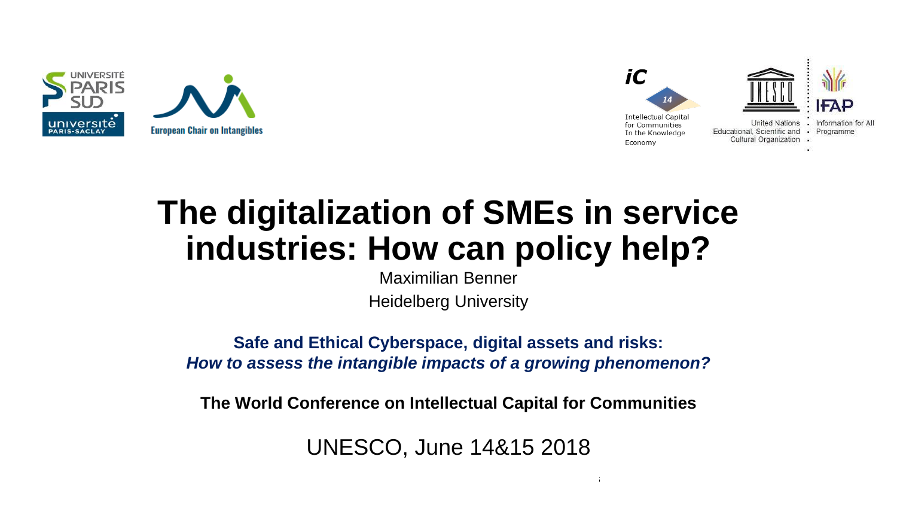



# **The digitalization of SMEs in service industries: How can policy help?**

Maximilian Benner Heidelberg University

**Safe and Ethical Cyberspace, digital assets and risks:**  *How to assess the intangible impacts of a growing phenomenon?*

**The World Conference on Intellectual Capital for Communities**

UNESCO, June 14&15 2018

 $14\pm 15$ th June 2018 The World Conference on Intellectual Capital for Communities on Intellectual for Communities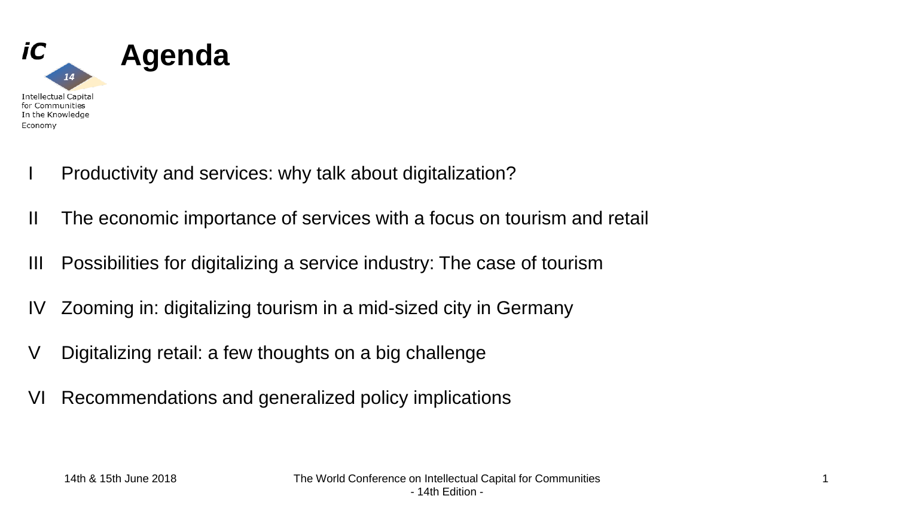

- I Productivity and services: why talk about digitalization?
- II The economic importance of services with a focus on tourism and retail
- III Possibilities for digitalizing a service industry: The case of tourism
- IV Zooming in: digitalizing tourism in a mid-sized city in Germany
- V Digitalizing retail: a few thoughts on a big challenge
- VI Recommendations and generalized policy implications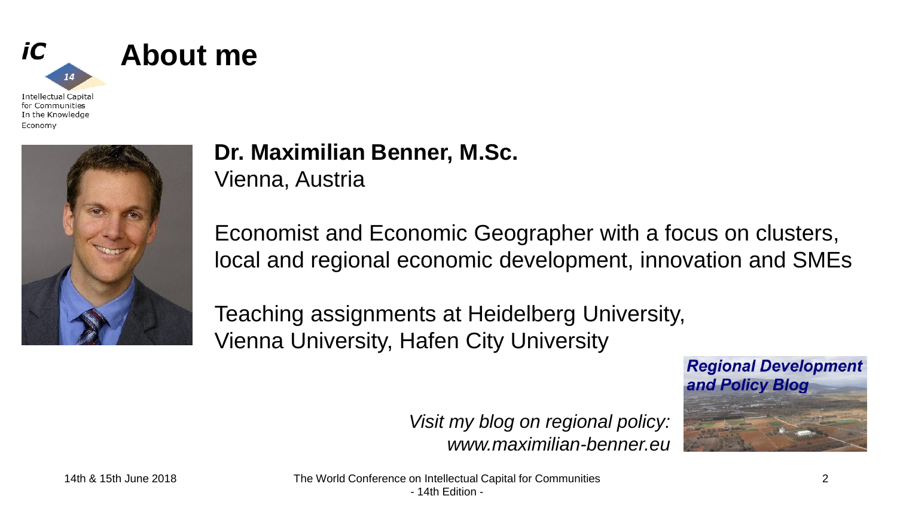



**About me**

### **Dr. Maximilian Benner, M.Sc.** Vienna, Austria

Economist and Economic Geographer with a focus on clusters, local and regional economic development, innovation and SMEs

Teaching assignments at Heidelberg University, Vienna University, Hafen City University

> *Visit my blog on regional policy: www.maximilian-benner.eu*

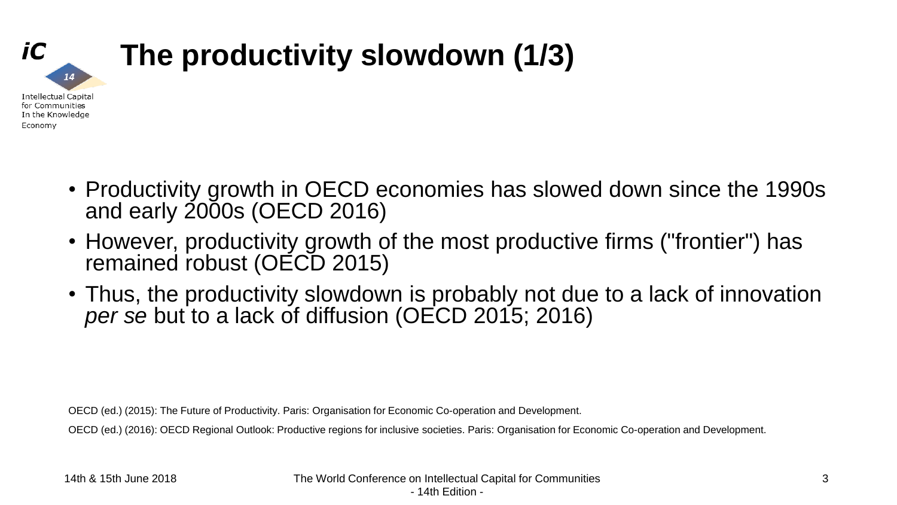

## **The productivity slowdown (1/3)**

- Productivity growth in OECD economies has slowed down since the 1990s and early 2000s (OECD 2016)
- However, productivity growth of the most productive firms ("frontier") has remained robust (OECD 2015)
- Thus, the productivity slowdown is probably not due to a lack of innovation *per se* but to a lack of diffusion (OECD 2015; 2016)

OECD (ed.) (2015): The Future of Productivity. Paris: Organisation for Economic Co-operation and Development.

OECD (ed.) (2016): OECD Regional Outlook: Productive regions for inclusive societies. Paris: Organisation for Economic Co-operation and Development.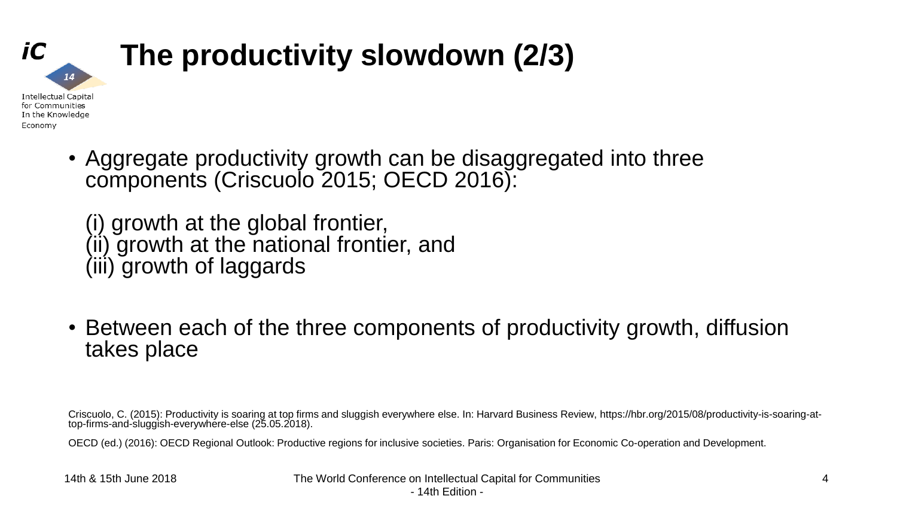

• Aggregate productivity growth can be disaggregated into three components (Criscuolo 2015; OECD 2016):

(i) growth at the global frontier, (ii) growth at the national frontier, and (iii) growth of laggards

• Between each of the three components of productivity growth, diffusion takes place

Criscuolo, C. (2015): Productivity is soaring at top firms and sluggish everywhere else. In: Harvard Business Review, https://hbr.org/2015/08/productivity-is-soaring-attop-firms-and-sluggish-everywhere-else (25.05.2018).

OECD (ed.) (2016): OECD Regional Outlook: Productive regions for inclusive societies. Paris: Organisation for Economic Co-operation and Development.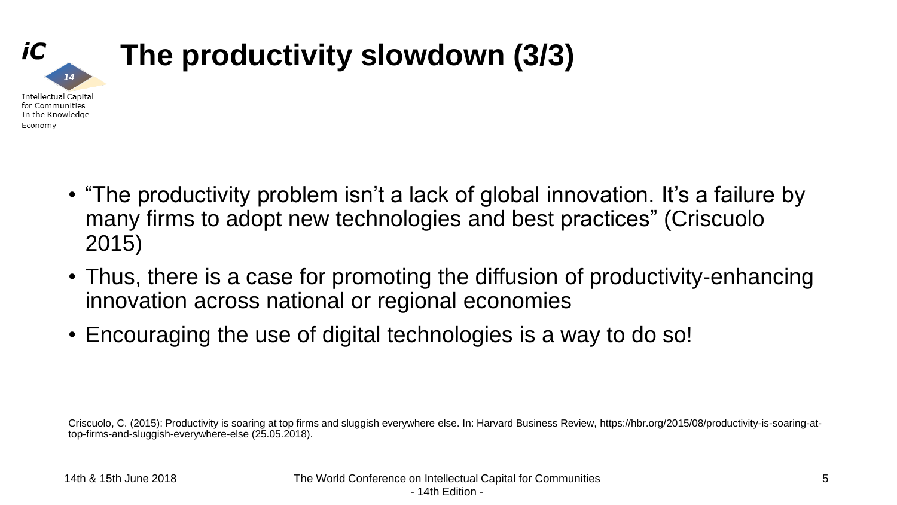

- "The productivity problem isn't a lack of global innovation. It's a failure by many firms to adopt new technologies and best practices" (Criscuolo 2015)
- Thus, there is a case for promoting the diffusion of productivity-enhancing innovation across national or regional economies
- Encouraging the use of digital technologies is a way to do so!

Criscuolo, C. (2015): Productivity is soaring at top firms and sluggish everywhere else. In: Harvard Business Review, https://hbr.org/2015/08/productivity-is-soaring-attop-firms-and-sluggish-everywhere-else (25.05.2018).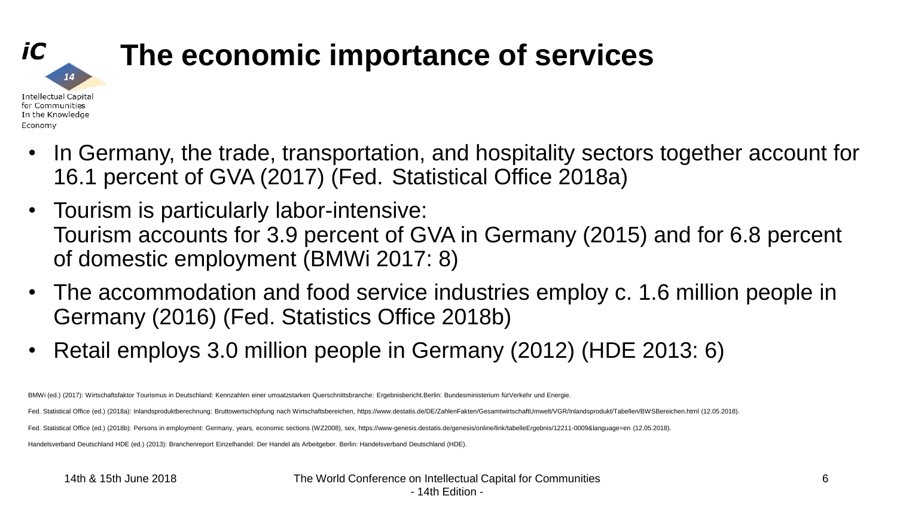

### **The economic importance of services**

- In Germany, the trade, transportation, and hospitality sectors together account for 16.1 percent of GVA (2017) (Fed. Statistical Office 2018a)
- Tourism is particularly labor-intensive: Tourism accounts for 3.9 percent of GVA in Germany (2015) and for 6.8 percent of domestic employment (BMWi 2017: 8)
- The accommodation and food service industries employ c. 1.6 million people in Germany (2016) (Fed. Statistics Office 2018b)
- Retail employs 3.0 million people in Germany (2012) (HDE 2013: 6)

BMWi (ed.) (2017): Wirtschaftsfaktor Tourismus in Deutschland: Kennzahlen einer umsatzstarken Querschnittsbranche: Ergebnisbericht.Berlin: Bundesministerium fürVerkehr und Energie.

Fed. Statistical Office (ed.) (2018a): Inlandsproduktberechnung: Bruttowertschöpfung nach Wirtschaftsbereichen, https://www.destatis.de/DE/ZahlenFakten/GesamtwirtschaftUmwelt/VGR/Inlandsprodukt/Tabellen/BWSBereichen.html (

Fed. Statistical Office (ed.) (2018b): Persons in employment: Germany, years, economic sections (WZ2008), sex, https://www-genesis.destatis.de/genesis/online/link/tabelleErgebnis/12211-0009&language=en (12.05.2018).

Handelsverband Deutschland HDE (ed.) (2013): Branchenreport Einzelhandel: Der Handel als Arbeitgeber. Berlin: Handelsverband Deutschland (HDE).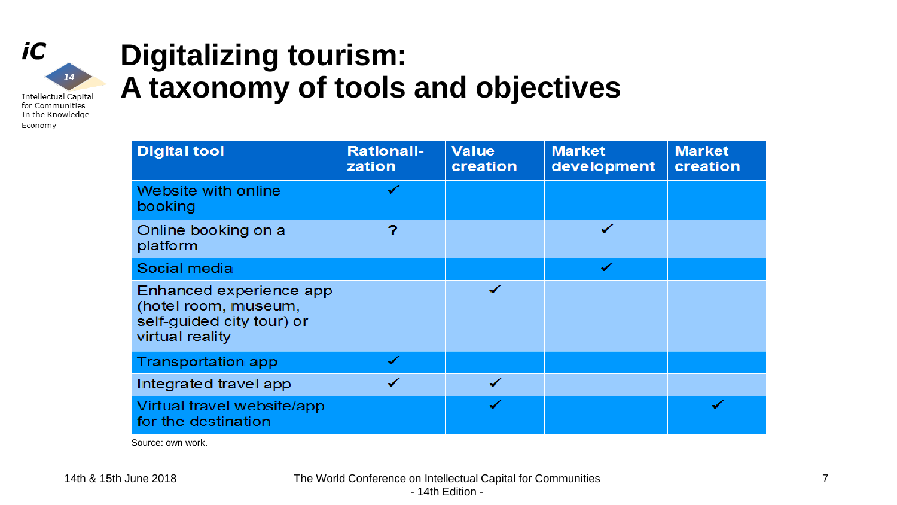

Economy

### **Digitalizing tourism: A taxonomy of tools and objectives**

| <b>Digital tool</b>                                                                             | <b>Rationali-</b><br>zation | <b>Value</b><br>creation | <b>Market</b><br>development | <b>Market</b><br>creation |
|-------------------------------------------------------------------------------------------------|-----------------------------|--------------------------|------------------------------|---------------------------|
| Website with online<br>booking                                                                  | ✓                           |                          |                              |                           |
| Online booking on a<br>platform                                                                 | ?                           |                          | ✓                            |                           |
| Social media                                                                                    |                             |                          | ✔                            |                           |
| Enhanced experience app<br>(hotel room, museum,<br>self-guided city tour) or<br>virtual reality |                             | ✓                        |                              |                           |
| <b>Transportation app</b>                                                                       | ✔                           |                          |                              |                           |
| Integrated travel app                                                                           |                             |                          |                              |                           |
| Virtual travel website/app<br>for the destination                                               |                             | ✓                        |                              |                           |

Source: own work.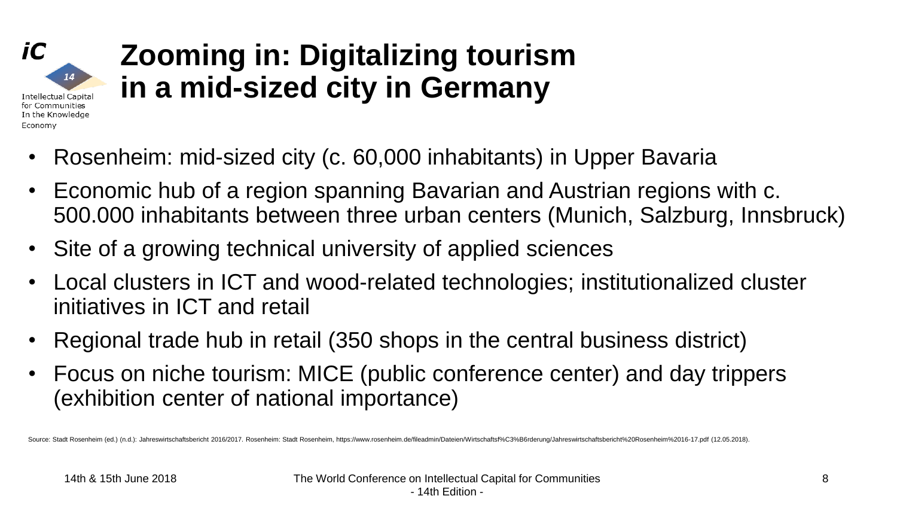#### iC  $14$ **Intellectual Capital** for Communities In the Knowledge Economy

### **Zooming in: Digitalizing tourism in a mid-sized city in Germany**

- Rosenheim: mid-sized city (c. 60,000 inhabitants) in Upper Bavaria
- Economic hub of a region spanning Bavarian and Austrian regions with c. 500.000 inhabitants between three urban centers (Munich, Salzburg, Innsbruck)
- Site of a growing technical university of applied sciences
- Local clusters in ICT and wood-related technologies; institutionalized cluster initiatives in ICT and retail
- Regional trade hub in retail (350 shops in the central business district)
- Focus on niche tourism: MICE (public conference center) and day trippers (exhibition center of national importance)

Source: Stadt Rosenheim (ed.) (n.d.): Jahreswirtschaftsbericht 2016/2017. Rosenheim: Stadt Rosenheim: https://www.rosenheim.de/fileadmin/Dateien/Wirtschaftsf%C3%B6rderung/Jahreswirtschaftsbericht%20Rosenheim%2016-17.pdf (1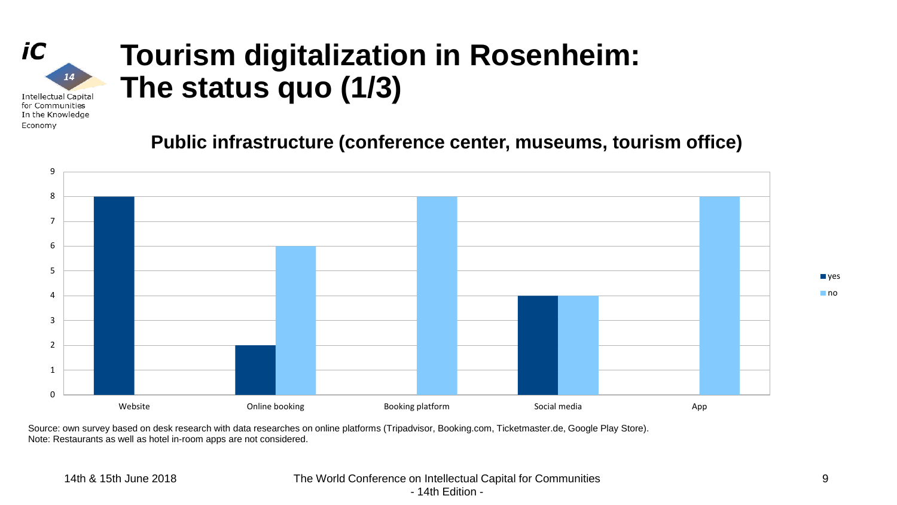### **Tourism digitalization in Rosenheim: The status quo (1/3)**

**Intellectual Capital** for Communities In the Knowledge Economy

 $14$ 

iC

**Public infrastructure (conference center, museums, tourism office)**



Source: own survey based on desk research with data researches on online platforms (Tripadvisor, Booking.com, Ticketmaster.de, Google Play Store). Note: Restaurants as well as hotel in-room apps are not considered.

#### 14th & 15th June 2018 The World Conference on Intellectual Capital for Communities - 14th Edition -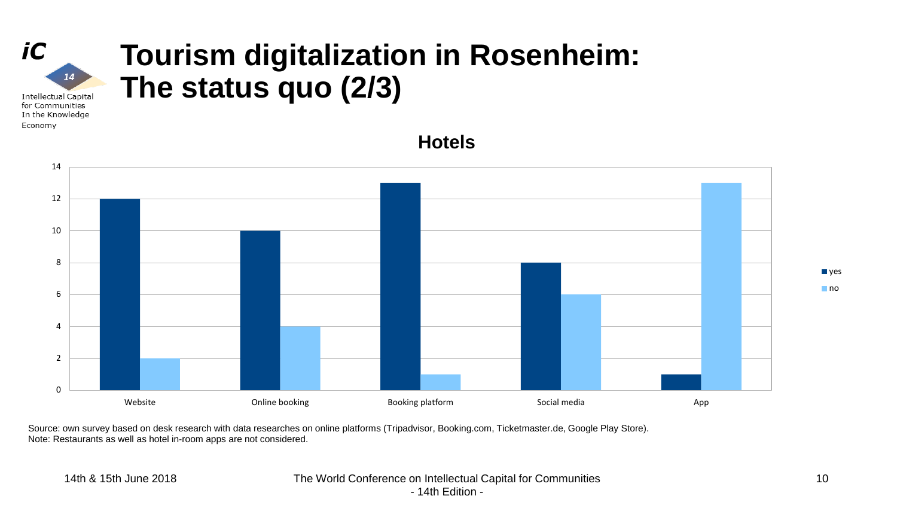#### iC **Tourism digitalization in Rosenheim:**  $14$ **The status quo (2/3) Intellectual Capital** for Communities

In the Knowledge Economy

> Website **Social Medical Concept Conline booking Conserverse Booking platform** Social media App App 0 2 4 6 8 10 12 14 **Hotels**

Source: own survey based on desk research with data researches on online platforms (Tripadvisor, Booking.com, Ticketmaster.de, Google Play Store). Note: Restaurants as well as hotel in-room apps are not considered.

#### 14th & 15th June 2018 The World Conference on Intellectual Capital for Communities - 14th Edition -

**■** yes no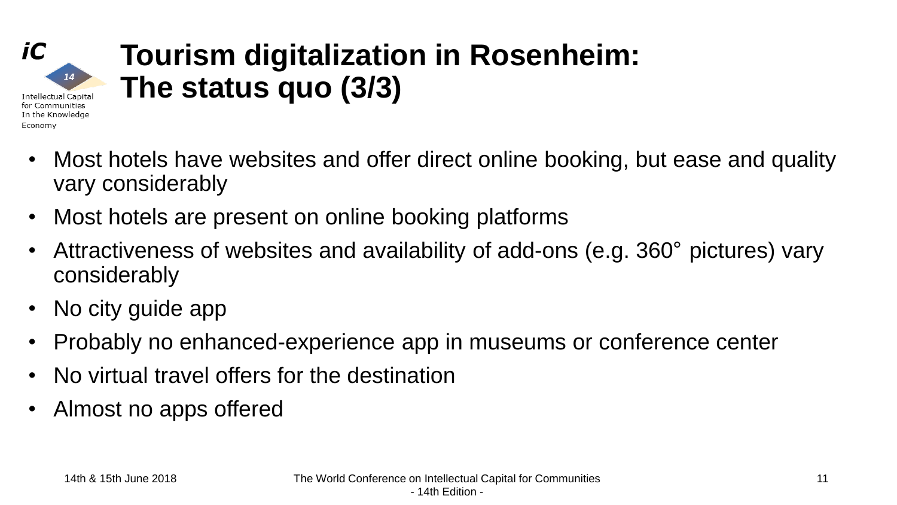

### **Tourism digitalization in Rosenheim: The status quo (3/3)**

- Most hotels have websites and offer direct online booking, but ease and quality vary considerably
- Most hotels are present on online booking platforms
- Attractiveness of websites and availability of add-ons (e.g. 360° pictures) vary considerably
- No city guide app
- Probably no enhanced-experience app in museums or conference center
- No virtual travel offers for the destination
- Almost no apps offered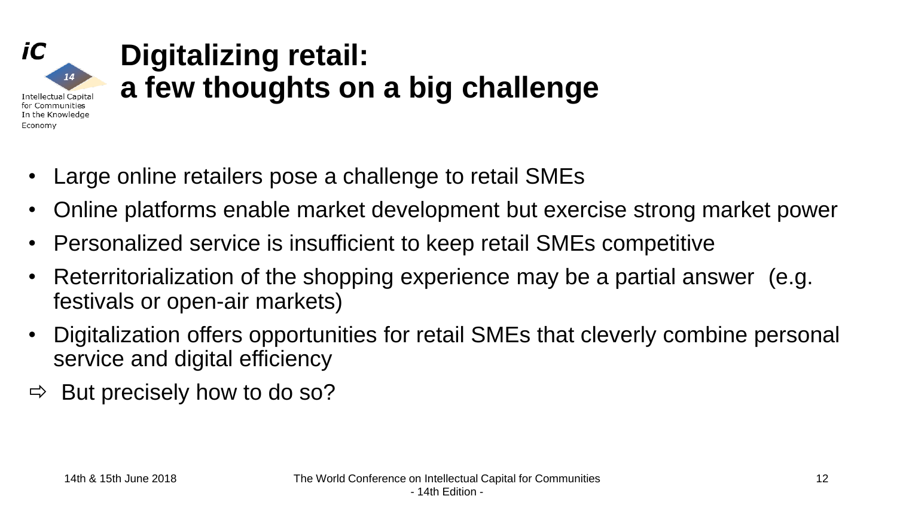### **Digitalizing retail: a few thoughts on a big challenge Intellectual Capital** In the Knowledge

- Large online retailers pose a challenge to retail SMEs
- Online platforms enable market development but exercise strong market power
- Personalized service is insufficient to keep retail SMEs competitive
- Reterritorialization of the shopping experience may be a partial answer (e.g. festivals or open-air markets)
- Digitalization offers opportunities for retail SMEs that cleverly combine personal service and digital efficiency
- $\Rightarrow$  But precisely how to do so?

iC

14

for Communities

Economy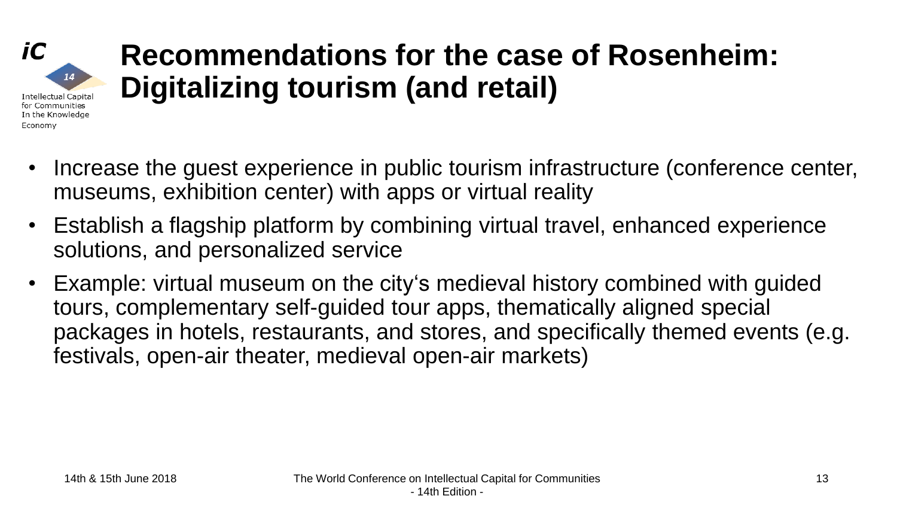#### **Recommendations for the case of Rosenheim:** 14 **Digitalizing tourism (and retail) Intellectual Capital** for Communities In the Knowledge

- Increase the guest experience in public tourism infrastructure (conference center, museums, exhibition center) with apps or virtual reality
- Establish a flagship platform by combining virtual travel, enhanced experience solutions, and personalized service
- Example: virtual museum on the city's medieval history combined with guided tours, complementary self-guided tour apps, thematically aligned special packages in hotels, restaurants, and stores, and specifically themed events (e.g. festivals, open-air theater, medieval open-air markets)

iC

Economy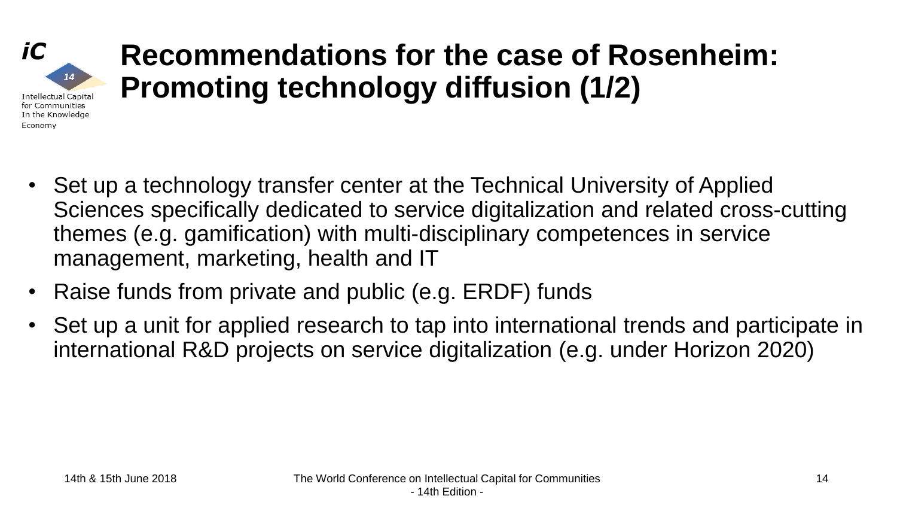

### **Recommendations for the case of Rosenheim: Promoting technology diffusion (1/2)**

- Set up a technology transfer center at the Technical University of Applied Sciences specifically dedicated to service digitalization and related cross-cutting themes (e.g. gamification) with multi-disciplinary competences in service management, marketing, health and IT
- Raise funds from private and public (e.g. ERDF) funds
- Set up a unit for applied research to tap into international trends and participate in international R&D projects on service digitalization (e.g. under Horizon 2020)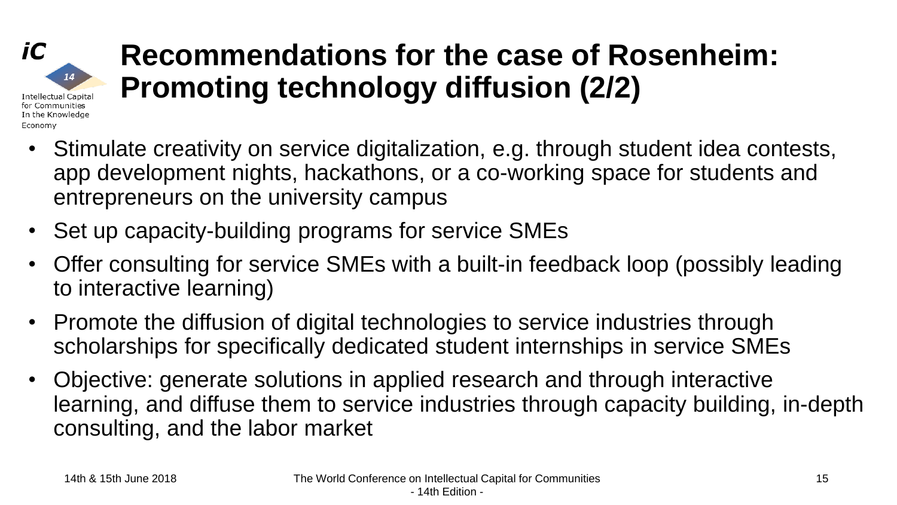### **Recommendations for the case of Rosenheim: Promoting technology diffusion (2/2) Intellectual Capital** for Communities

- Stimulate creativity on service digitalization, e.g. through student idea contests, app development nights, hackathons, or a co-working space for students and entrepreneurs on the university campus
- Set up capacity-building programs for service SMEs
- Offer consulting for service SMEs with a built-in feedback loop (possibly leading to interactive learning)
- Promote the diffusion of digital technologies to service industries through scholarships for specifically dedicated student internships in service SMEs
- Objective: generate solutions in applied research and through interactive learning, and diffuse them to service industries through capacity building, in-depth consulting, and the labor market

iC

14

In the Knowledge

Economy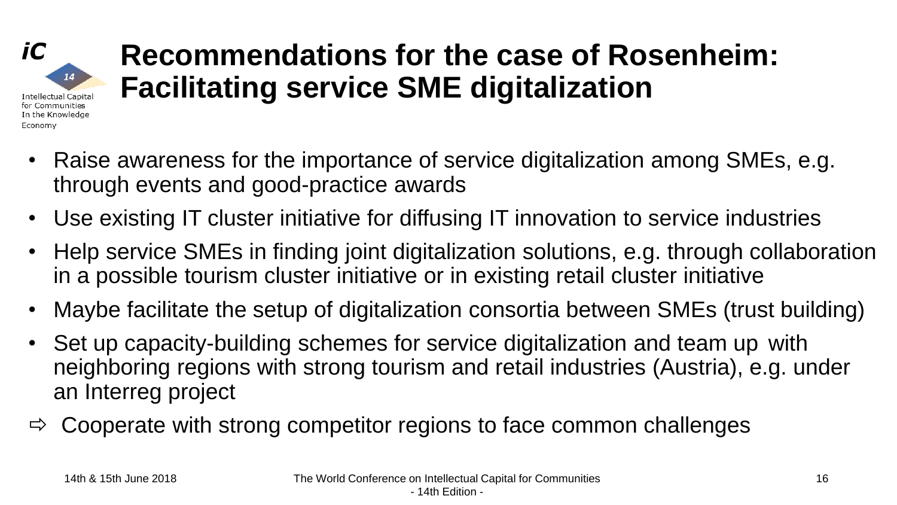## **Recommendations for the case of Rosenheim: Facilitating service SME digitalization**

- Raise awareness for the importance of service digitalization among SMEs, e.g. through events and good-practice awards
- Use existing IT cluster initiative for diffusing IT innovation to service industries
- Help service SMEs in finding joint digitalization solutions, e.g. through collaboration in a possible tourism cluster initiative or in existing retail cluster initiative
- Maybe facilitate the setup of digitalization consortia between SMEs (trust building)
- Set up capacity-building schemes for service digitalization and team up with neighboring regions with strong tourism and retail industries (Austria), e.g. under an Interreg project
- $\Rightarrow$  Cooperate with strong competitor regions to face common challenges

iC

Economy

14

**Intellectual Capital** for Communities In the Knowledge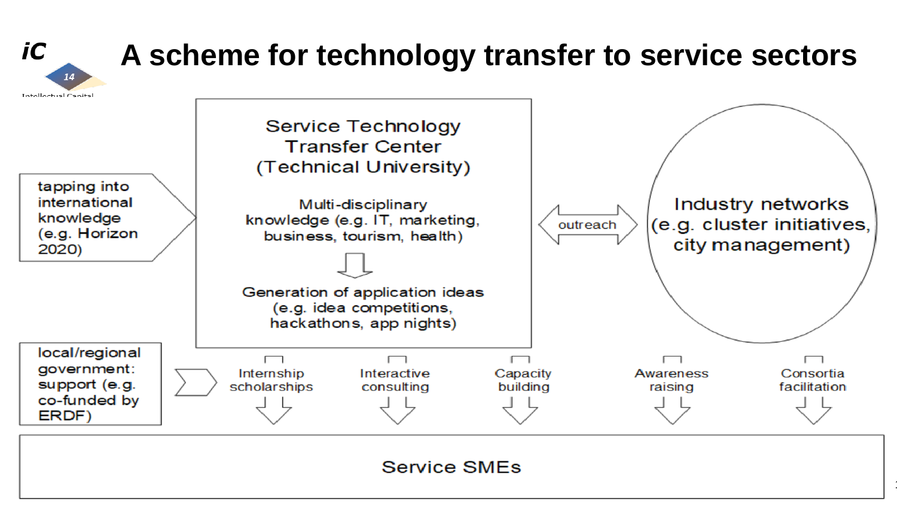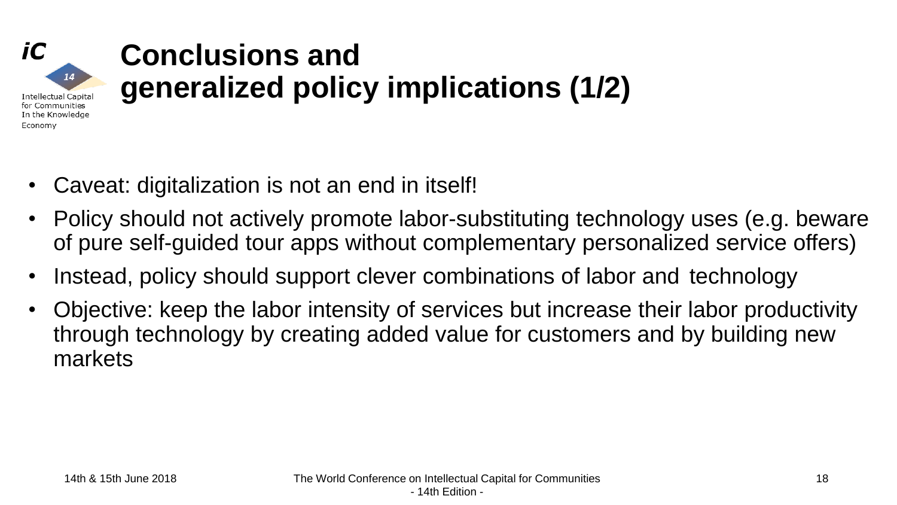

# **Conclusions and generalized policy implications (1/2)**

- Caveat: digitalization is not an end in itself!
- Policy should not actively promote labor-substituting technology uses (e.g. beware of pure self-guided tour apps without complementary personalized service offers)
- Instead, policy should support clever combinations of labor and technology
- Objective: keep the labor intensity of services but increase their labor productivity through technology by creating added value for customers and by building new markets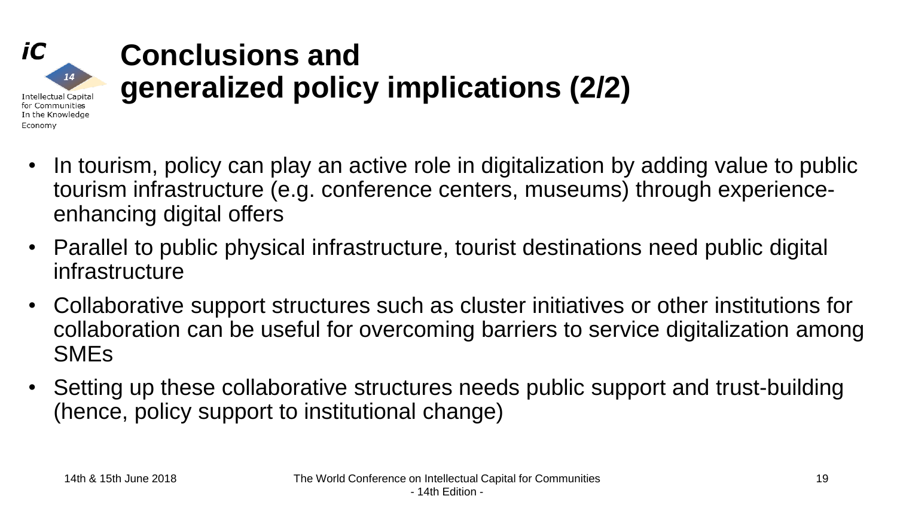#### **Conclusions and generalized policy implications (2/2) Intellectual Capital** for Communities In the Knowledge

- In tourism, policy can play an active role in digitalization by adding value to public tourism infrastructure (e.g. conference centers, museums) through experienceenhancing digital offers
- Parallel to public physical infrastructure, tourist destinations need public digital infrastructure
- Collaborative support structures such as cluster initiatives or other institutions for collaboration can be useful for overcoming barriers to service digitalization among SMEs
- Setting up these collaborative structures needs public support and trust-building (hence, policy support to institutional change)

iC

Economy

14